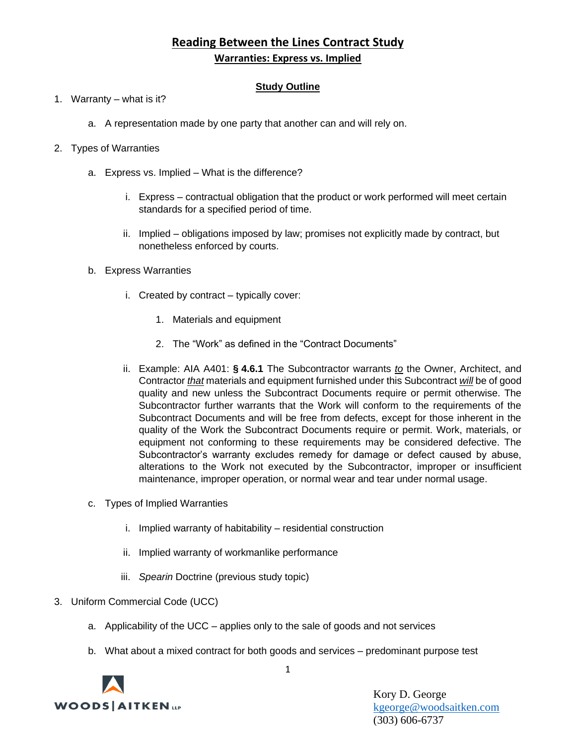# **Reading Between the Lines Contract Study Warranties: Express vs. Implied**

### **Study Outline**

- 1. Warranty what is it?
	- a. A representation made by one party that another can and will rely on.
- 2. Types of Warranties
	- a. Express vs. Implied What is the difference?
		- i. Express contractual obligation that the product or work performed will meet certain standards for a specified period of time.
		- ii. Implied obligations imposed by law; promises not explicitly made by contract, but nonetheless enforced by courts.
	- b. Express Warranties
		- i. Created by contract typically cover:
			- 1. Materials and equipment
			- 2. The "Work" as defined in the "Contract Documents"
		- ii. Example: AIA A401: **§ 4.6.1** The Subcontractor warrants *to* the Owner, Architect, and Contractor *that* materials and equipment furnished under this Subcontract *will* be of good quality and new unless the Subcontract Documents require or permit otherwise. The Subcontractor further warrants that the Work will conform to the requirements of the Subcontract Documents and will be free from defects, except for those inherent in the quality of the Work the Subcontract Documents require or permit. Work, materials, or equipment not conforming to these requirements may be considered defective. The Subcontractor's warranty excludes remedy for damage or defect caused by abuse, alterations to the Work not executed by the Subcontractor, improper or insufficient maintenance, improper operation, or normal wear and tear under normal usage.
	- c. Types of Implied Warranties
		- i. Implied warranty of habitability residential construction
		- ii. Implied warranty of workmanlike performance
		- iii. *Spearin* Doctrine (previous study topic)
- 3. Uniform Commercial Code (UCC)
	- a. Applicability of the UCC applies only to the sale of goods and not services
	- b. What about a mixed contract for both goods and services predominant purpose test



Kory D. George [kgeorge@woodsaitken.com](mailto:kgeorge@woodsaitken.com) (303) 606-6737

1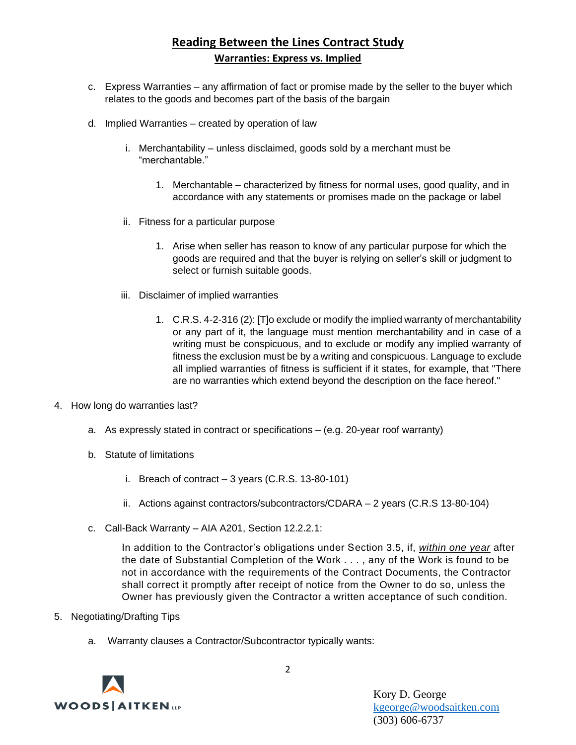# **Reading Between the Lines Contract Study Warranties: Express vs. Implied**

- c. Express Warranties any affirmation of fact or promise made by the seller to the buyer which relates to the goods and becomes part of the basis of the bargain
- d. Implied Warranties created by operation of law
	- i. Merchantability unless disclaimed, goods sold by a merchant must be "merchantable."
		- 1. Merchantable characterized by fitness for normal uses, good quality, and in accordance with any statements or promises made on the package or label
	- ii. Fitness for a particular purpose
		- 1. Arise when seller has reason to know of any particular purpose for which the goods are required and that the buyer is relying on seller's skill or judgment to select or furnish suitable goods.
	- iii. Disclaimer of implied warranties
		- 1. C.R.S. 4-2-316 (2): [T]o exclude or modify the implied warranty of merchantability or any part of it, the language must mention merchantability and in case of a writing must be conspicuous, and to exclude or modify any implied warranty of fitness the exclusion must be by a writing and conspicuous. Language to exclude all implied warranties of fitness is sufficient if it states, for example, that "There are no warranties which extend beyond the description on the face hereof."
- 4. How long do warranties last?
	- a. As expressly stated in contract or specifications (e.g. 20-year roof warranty)
	- b. Statute of limitations
		- i. Breach of contract 3 years (C.R.S. 13-80-101)
		- ii. Actions against contractors/subcontractors/CDARA 2 years (C.R.S 13-80-104)
	- c. Call-Back Warranty AIA A201, Section 12.2.2.1:

In addition to the Contractor's obligations under Section 3.5, if, *within one year* after the date of Substantial Completion of the Work . . . , any of the Work is found to be not in accordance with the requirements of the Contract Documents, the Contractor shall correct it promptly after receipt of notice from the Owner to do so, unless the Owner has previously given the Contractor a written acceptance of such condition.

- 5. Negotiating/Drafting Tips
	- a. Warranty clauses a Contractor/Subcontractor typically wants:



Kory D. George [kgeorge@woodsaitken.com](mailto:kgeorge@woodsaitken.com) (303) 606-6737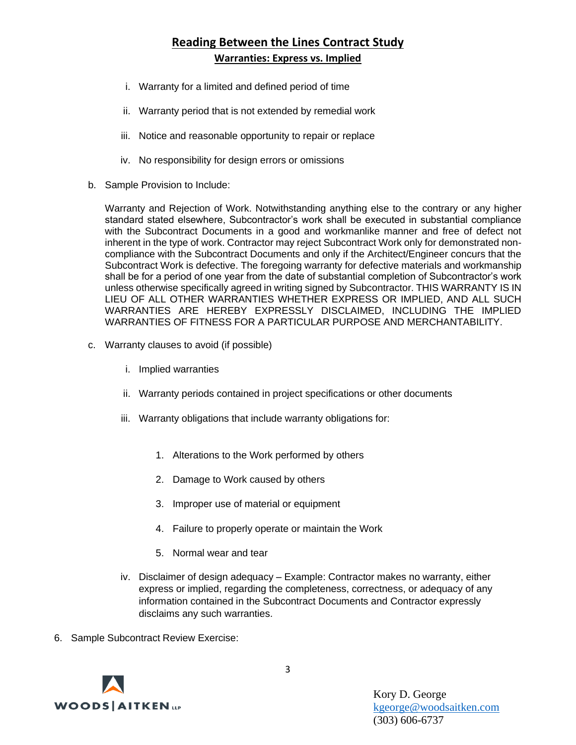# **Reading Between the Lines Contract Study Warranties: Express vs. Implied**

- i. Warranty for a limited and defined period of time
- ii. Warranty period that is not extended by remedial work
- iii. Notice and reasonable opportunity to repair or replace
- iv. No responsibility for design errors or omissions
- b. Sample Provision to Include:

Warranty and Rejection of Work. Notwithstanding anything else to the contrary or any higher standard stated elsewhere, Subcontractor's work shall be executed in substantial compliance with the Subcontract Documents in a good and workmanlike manner and free of defect not inherent in the type of work. Contractor may reject Subcontract Work only for demonstrated noncompliance with the Subcontract Documents and only if the Architect/Engineer concurs that the Subcontract Work is defective. The foregoing warranty for defective materials and workmanship shall be for a period of one year from the date of substantial completion of Subcontractor's work unless otherwise specifically agreed in writing signed by Subcontractor. THIS WARRANTY IS IN LIEU OF ALL OTHER WARRANTIES WHETHER EXPRESS OR IMPLIED, AND ALL SUCH WARRANTIES ARE HEREBY EXPRESSLY DISCLAIMED, INCLUDING THE IMPLIED WARRANTIES OF FITNESS FOR A PARTICULAR PURPOSE AND MERCHANTABILITY.

- c. Warranty clauses to avoid (if possible)
	- i. Implied warranties
	- ii. Warranty periods contained in project specifications or other documents
	- iii. Warranty obligations that include warranty obligations for:
		- 1. Alterations to the Work performed by others
		- 2. Damage to Work caused by others
		- 3. Improper use of material or equipment
		- 4. Failure to properly operate or maintain the Work
		- 5. Normal wear and tear
	- iv. Disclaimer of design adequacy Example: Contractor makes no warranty, either express or implied, regarding the completeness, correctness, or adequacy of any information contained in the Subcontract Documents and Contractor expressly disclaims any such warranties.
- 6. Sample Subcontract Review Exercise:



Kory D. George [kgeorge@woodsaitken.com](mailto:kgeorge@woodsaitken.com) (303) 606-6737